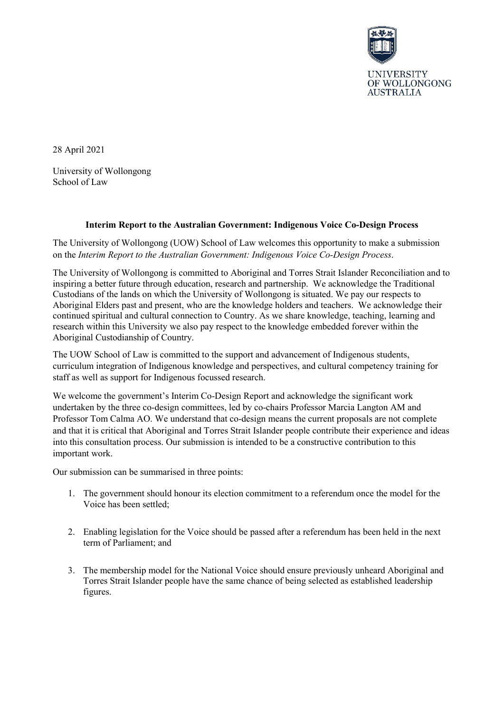

28 April 2021

University of Wollongong School of Law

## **Interim Report to the Australian Government: Indigenous Voice Co-Design Process**

The University of Wollongong (UOW) School of Law welcomes this opportunity to make a submission on the *Interim Report to the Australian Government: Indigenous Voice Co-Design Process*.

The University of Wollongong is committed to Aboriginal and Torres Strait Islander Reconciliation and to inspiring a better future through education, research and partnership. We acknowledge the Traditional Custodians of the lands on which the University of Wollongong is situated. We pay our respects to Aboriginal Elders past and present, who are the knowledge holders and teachers. We acknowledge their continued spiritual and cultural connection to Country. As we share knowledge, teaching, learning and research within this University we also pay respect to the knowledge embedded forever within the Aboriginal Custodianship of Country.

The UOW School of Law is committed to the support and advancement of Indigenous students, curriculum integration of Indigenous knowledge and perspectives, and cultural competency training for staff as well as support for Indigenous focussed research.

We welcome the government's Interim Co-Design Report and acknowledge the significant work undertaken by the three co-design committees, led by co-chairs Professor Marcia Langton AM and Professor Tom Calma AO. We understand that co-design means the current proposals are not complete and that it is critical that Aboriginal and Torres Strait Islander people contribute their experience and ideas into this consultation process. Our submission is intended to be a constructive contribution to this important work.

Our submission can be summarised in three points:

- 1. The government should honour its election commitment to a referendum once the model for the Voice has been settled;
- 2. Enabling legislation for the Voice should be passed after a referendum has been held in the next term of Parliament; and
- 3. The membership model for the National Voice should ensure previously unheard Aboriginal and Torres Strait Islander people have the same chance of being selected as established leadership figures.